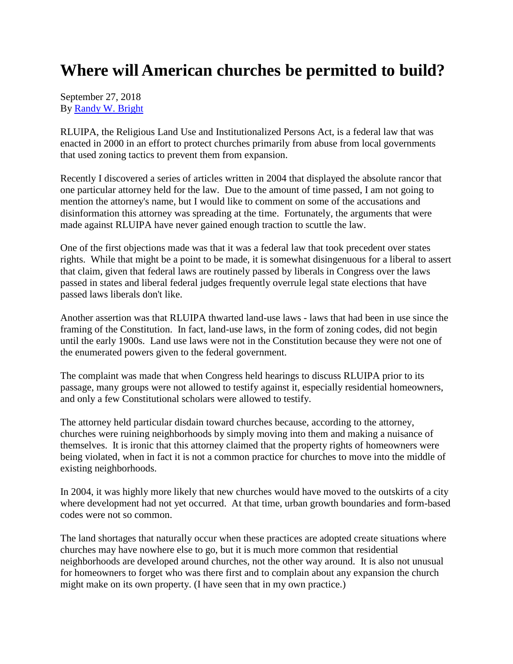## **Where will American churches be permitted to build?**

September 27, 2018 By [Randy W. Bright](http://www.tulsabeacon.com/author/slug-o6yd1v)

RLUIPA, the Religious Land Use and Institutionalized Persons Act, is a federal law that was enacted in 2000 in an effort to protect churches primarily from abuse from local governments that used zoning tactics to prevent them from expansion.

Recently I discovered a series of articles written in 2004 that displayed the absolute rancor that one particular attorney held for the law. Due to the amount of time passed, I am not going to mention the attorney's name, but I would like to comment on some of the accusations and disinformation this attorney was spreading at the time. Fortunately, the arguments that were made against RLUIPA have never gained enough traction to scuttle the law.

One of the first objections made was that it was a federal law that took precedent over states rights. While that might be a point to be made, it is somewhat disingenuous for a liberal to assert that claim, given that federal laws are routinely passed by liberals in Congress over the laws passed in states and liberal federal judges frequently overrule legal state elections that have passed laws liberals don't like.

Another assertion was that RLUIPA thwarted land-use laws - laws that had been in use since the framing of the Constitution. In fact, land-use laws, in the form of zoning codes, did not begin until the early 1900s. Land use laws were not in the Constitution because they were not one of the enumerated powers given to the federal government.

The complaint was made that when Congress held hearings to discuss RLUIPA prior to its passage, many groups were not allowed to testify against it, especially residential homeowners, and only a few Constitutional scholars were allowed to testify.

The attorney held particular disdain toward churches because, according to the attorney, churches were ruining neighborhoods by simply moving into them and making a nuisance of themselves. It is ironic that this attorney claimed that the property rights of homeowners were being violated, when in fact it is not a common practice for churches to move into the middle of existing neighborhoods.

In 2004, it was highly more likely that new churches would have moved to the outskirts of a city where development had not yet occurred. At that time, urban growth boundaries and form-based codes were not so common.

The land shortages that naturally occur when these practices are adopted create situations where churches may have nowhere else to go, but it is much more common that residential neighborhoods are developed around churches, not the other way around. It is also not unusual for homeowners to forget who was there first and to complain about any expansion the church might make on its own property. (I have seen that in my own practice.)